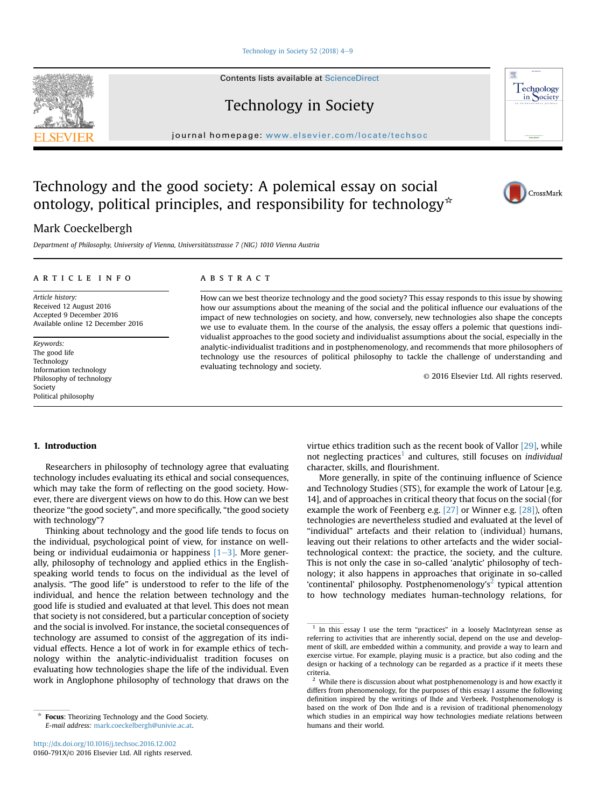Technology in Society 52 (2018)  $4-9$  $4-9$ 

Contents lists available at ScienceDirect

Technology in Society

journal homepage: <www.elsevier.com/locate/techsoc>

# Technology and the good society: A polemical essay on social ontology, political principles, and responsibility for technology $\dot{\mathbf{x}}$

# Mark Coeckelbergh

Department of Philosophy, University of Vienna, Universitätsstrasse 7 (NIG) 1010 Vienna Austria

### article info

Article history: Received 12 August 2016 Accepted 9 December 2016 Available online 12 December 2016

Keywords: The good life Technology Information technology Philosophy of technology Society Political philosophy

# **ABSTRACT**

How can we best theorize technology and the good society? This essay responds to this issue by showing how our assumptions about the meaning of the social and the political influence our evaluations of the impact of new technologies on society, and how, conversely, new technologies also shape the concepts we use to evaluate them. In the course of the analysis, the essay offers a polemic that questions individualist approaches to the good society and individualist assumptions about the social, especially in the analytic-individualist traditions and in postphenomenology, and recommends that more philosophers of technology use the resources of political philosophy to tackle the challenge of understanding and evaluating technology and society.

© 2016 Elsevier Ltd. All rights reserved.

#### 1. Introduction

Researchers in philosophy of technology agree that evaluating technology includes evaluating its ethical and social consequences, which may take the form of reflecting on the good society. However, there are divergent views on how to do this. How can we best theorize "the good society", and more specifically, "the good society with technology"?

Thinking about technology and the good life tends to focus on the individual, psychological point of view, for instance on wellbeing or individual eudaimonia or happiness  $[1-3]$  $[1-3]$  $[1-3]$ . More generally, philosophy of technology and applied ethics in the Englishspeaking world tends to focus on the individual as the level of analysis. "The good life" is understood to refer to the life of the individual, and hence the relation between technology and the good life is studied and evaluated at that level. This does not mean that society is not considered, but a particular conception of society and the social is involved. For instance, the societal consequences of technology are assumed to consist of the aggregation of its individual effects. Hence a lot of work in for example ethics of technology within the analytic-individualist tradition focuses on evaluating how technologies shape the life of the individual. Even work in Anglophone philosophy of technology that draws on the virtue ethics tradition such as the recent book of Vallor  $[29]$ , while not neglecting practices<sup>1</sup> and cultures, still focuses on *individual* character, skills, and flourishment.

More generally, in spite of the continuing influence of Science and Technology Studies (STS), for example the work of Latour [e.g. 14], and of approaches in critical theory that focus on the social (for example the work of Feenberg e.g. [\[27\]](#page-5-0) or Winner e.g. [\[28\]\)](#page-5-0), often technologies are nevertheless studied and evaluated at the level of "individual" artefacts and their relation to (individual) humans, leaving out their relations to other artefacts and the wider socialtechnological context: the practice, the society, and the culture. This is not only the case in so-called 'analytic' philosophy of technology; it also happens in approaches that originate in so-called 'continental' philosophy. Postphenomenology's<sup>2</sup> typical attention to how technology mediates human-technology relations, for





echnology in Society

屬

Focus: Theorizing Technology and the Good Society. E-mail address: [mark.coeckelbergh@univie.ac.at.](mailto:mark.coeckelbergh@univie.ac.at)

 $1$  In this essay I use the term "practices" in a loosely MacIntyrean sense as referring to activities that are inherently social, depend on the use and development of skill, are embedded within a community, and provide a way to learn and exercise virtue. For example, playing music is a practice, but also coding and the design or hacking of a technology can be regarded as a practice if it meets these criteria.

 $2$  While there is discussion about what postphenomenology is and how exactly it differs from phenomenology, for the purposes of this essay I assume the following definition inspired by the writings of Ihde and Verbeek. Postphenomenology is based on the work of Don Ihde and is a revision of traditional phenomenology which studies in an empirical way how technologies mediate relations between humans and their world.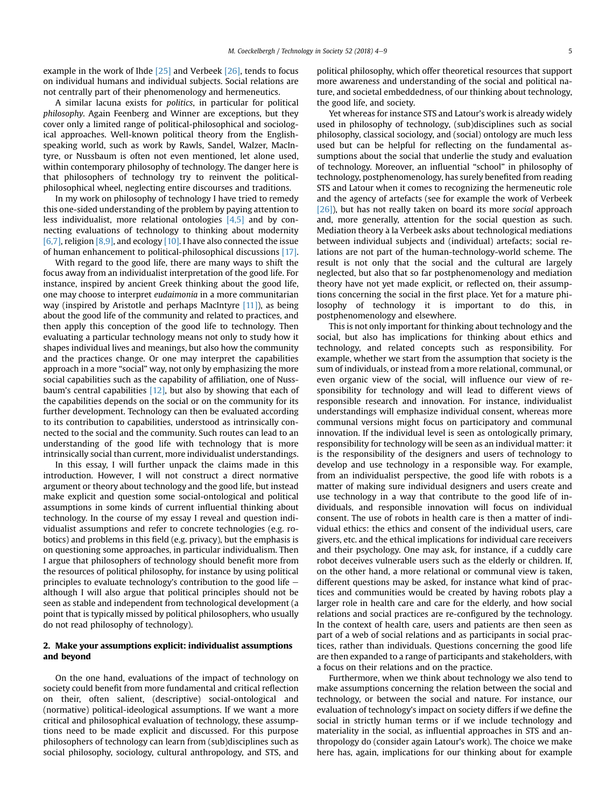example in the work of Ihde [\[25\]](#page-5-0) and Verbeek [\[26\]](#page-5-0), tends to focus on individual humans and individual subjects. Social relations are not centrally part of their phenomenology and hermeneutics.

A similar lacuna exists for politics, in particular for political philosophy. Again Feenberg and Winner are exceptions, but they cover only a limited range of political-philosophical and sociological approaches. Well-known political theory from the Englishspeaking world, such as work by Rawls, Sandel, Walzer, MacIntyre, or Nussbaum is often not even mentioned, let alone used, within contemporary philosophy of technology. The danger here is that philosophers of technology try to reinvent the politicalphilosophical wheel, neglecting entire discourses and traditions.

In my work on philosophy of technology I have tried to remedy this one-sided understanding of the problem by paying attention to less individualist, more relational ontologies [\[4,5\]](#page-5-0) and by connecting evaluations of technology to thinking about modernity [\[6,7\],](#page-5-0) religion  $[8,9]$ , and ecology [\[10\]](#page-5-0). I have also connected the issue of human enhancement to political-philosophical discussions [\[17\].](#page-5-0)

With regard to the good life, there are many ways to shift the focus away from an individualist interpretation of the good life. For instance, inspired by ancient Greek thinking about the good life, one may choose to interpret eudaimonia in a more communitarian way (inspired by Aristotle and perhaps MacIntyre [\[11\]](#page-5-0)), as being about the good life of the community and related to practices, and then apply this conception of the good life to technology. Then evaluating a particular technology means not only to study how it shapes individual lives and meanings, but also how the community and the practices change. Or one may interpret the capabilities approach in a more "social" way, not only by emphasizing the more social capabilities such as the capability of affiliation, one of Nussbaum's central capabilities  $[12]$ , but also by showing that each of the capabilities depends on the social or on the community for its further development. Technology can then be evaluated according to its contribution to capabilities, understood as intrinsically connected to the social and the community. Such routes can lead to an understanding of the good life with technology that is more intrinsically social than current, more individualist understandings.

In this essay, I will further unpack the claims made in this introduction. However, I will not construct a direct normative argument or theory about technology and the good life, but instead make explicit and question some social-ontological and political assumptions in some kinds of current influential thinking about technology. In the course of my essay I reveal and question individualist assumptions and refer to concrete technologies (e.g. robotics) and problems in this field (e.g. privacy), but the emphasis is on questioning some approaches, in particular individualism. Then I argue that philosophers of technology should benefit more from the resources of political philosophy, for instance by using political principles to evaluate technology's contribution to the good life  $$ although I will also argue that political principles should not be seen as stable and independent from technological development (a point that is typically missed by political philosophers, who usually do not read philosophy of technology).

# 2. Make your assumptions explicit: individualist assumptions and beyond

On the one hand, evaluations of the impact of technology on society could benefit from more fundamental and critical reflection on their, often salient, (descriptive) social-ontological and (normative) political-ideological assumptions. If we want a more critical and philosophical evaluation of technology, these assumptions need to be made explicit and discussed. For this purpose philosophers of technology can learn from (sub)disciplines such as social philosophy, sociology, cultural anthropology, and STS, and political philosophy, which offer theoretical resources that support more awareness and understanding of the social and political nature, and societal embeddedness, of our thinking about technology, the good life, and society.

Yet whereas for instance STS and Latour's work is already widely used in philosophy of technology, (sub)disciplines such as social philosophy, classical sociology, and (social) ontology are much less used but can be helpful for reflecting on the fundamental assumptions about the social that underlie the study and evaluation of technology. Moreover, an influential "school" in philosophy of technology, postphenomenology, has surely benefited from reading STS and Latour when it comes to recognizing the hermeneutic role and the agency of artefacts (see for example the work of Verbeek [\[26\]\)](#page-5-0), but has not really taken on board its more social approach and, more generally, attention for the social question as such. Mediation theory à la Verbeek asks about technological mediations between individual subjects and (individual) artefacts; social relations are not part of the human-technology-world scheme. The result is not only that the social and the cultural are largely neglected, but also that so far postphenomenology and mediation theory have not yet made explicit, or reflected on, their assumptions concerning the social in the first place. Yet for a mature philosophy of technology it is important to do this, in postphenomenology and elsewhere.

This is not only important for thinking about technology and the social, but also has implications for thinking about ethics and technology, and related concepts such as responsibility. For example, whether we start from the assumption that society is the sum of individuals, or instead from a more relational, communal, or even organic view of the social, will influence our view of responsibility for technology and will lead to different views of responsible research and innovation. For instance, individualist understandings will emphasize individual consent, whereas more communal versions might focus on participatory and communal innovation. If the individual level is seen as ontologically primary, responsibility for technology will be seen as an individual matter: it is the responsibility of the designers and users of technology to develop and use technology in a responsible way. For example, from an individualist perspective, the good life with robots is a matter of making sure individual designers and users create and use technology in a way that contribute to the good life of individuals, and responsible innovation will focus on individual consent. The use of robots in health care is then a matter of individual ethics: the ethics and consent of the individual users, care givers, etc. and the ethical implications for individual care receivers and their psychology. One may ask, for instance, if a cuddly care robot deceives vulnerable users such as the elderly or children. If, on the other hand, a more relational or communal view is taken, different questions may be asked, for instance what kind of practices and communities would be created by having robots play a larger role in health care and care for the elderly, and how social relations and social practices are re-configured by the technology. In the context of health care, users and patients are then seen as part of a web of social relations and as participants in social practices, rather than individuals. Questions concerning the good life are then expanded to a range of participants and stakeholders, with a focus on their relations and on the practice.

Furthermore, when we think about technology we also tend to make assumptions concerning the relation between the social and technology, or between the social and nature. For instance, our evaluation of technology's impact on society differs if we define the social in strictly human terms or if we include technology and materiality in the social, as influential approaches in STS and anthropology do (consider again Latour's work). The choice we make here has, again, implications for our thinking about for example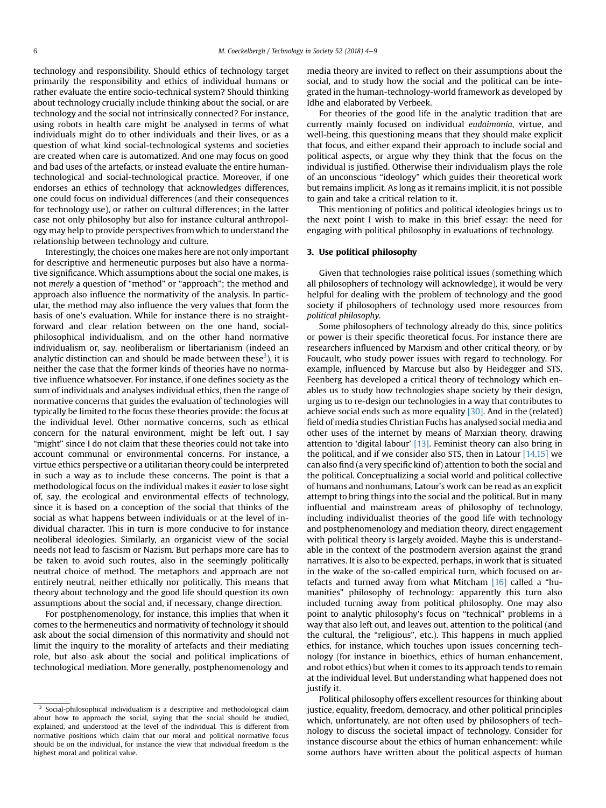technology and responsibility. Should ethics of technology target primarily the responsibility and ethics of individual humans or rather evaluate the entire socio-technical system? Should thinking about technology crucially include thinking about the social, or are technology and the social not intrinsically connected? For instance, using robots in health care might be analysed in terms of what individuals might do to other individuals and their lives, or as a question of what kind social-technological systems and societies are created when care is automatized. And one may focus on good and bad uses of the artefacts, or instead evaluate the entire humantechnological and social-technological practice. Moreover, if one endorses an ethics of technology that acknowledges differences, one could focus on individual differences (and their consequences for technology use), or rather on cultural differences; in the latter case not only philosophy but also for instance cultural anthropology may help to provide perspectives from which to understand the relationship between technology and culture.

Interestingly, the choices one makes here are not only important for descriptive and hermeneutic purposes but also have a normative significance. Which assumptions about the social one makes, is not merely a question of "method" or "approach"; the method and approach also influence the normativity of the analysis. In particular, the method may also influence the very values that form the basis of one's evaluation. While for instance there is no straightforward and clear relation between on the one hand, socialphilosophical individualism, and on the other hand normative individualism or, say, neoliberalism or libertarianism (indeed an analytic distinction can and should be made between these<sup>3</sup>), it is neither the case that the former kinds of theories have no normative influence whatsoever. For instance, if one defines society as the sum of individuals and analyses individual ethics, then the range of normative concerns that guides the evaluation of technologies will typically be limited to the focus these theories provide: the focus at the individual level. Other normative concerns, such as ethical concern for the natural environment, might be left out. I say "might" since I do not claim that these theories could not take into account communal or environmental concerns. For instance, a virtue ethics perspective or a utilitarian theory could be interpreted in such a way as to include these concerns. The point is that a methodological focus on the individual makes it easier to lose sight of, say, the ecological and environmental effects of technology, since it is based on a conception of the social that thinks of the social as what happens between individuals or at the level of individual character. This in turn is more conducive to for instance neoliberal ideologies. Similarly, an organicist view of the social needs not lead to fascism or Nazism. But perhaps more care has to be taken to avoid such routes, also in the seemingly politically neutral choice of method. The metaphors and approach are not entirely neutral, neither ethically nor politically. This means that theory about technology and the good life should question its own assumptions about the social and, if necessary, change direction.

For postphenomenology, for instance, this implies that when it comes to the hermeneutics and normativity of technology it should ask about the social dimension of this normativity and should not limit the inquiry to the morality of artefacts and their mediating role, but also ask about the social and political implications of technological mediation. More generally, postphenomenology and media theory are invited to reflect on their assumptions about the social, and to study how the social and the political can be integrated in the human-technology-world framework as developed by Idhe and elaborated by Verbeek.

For theories of the good life in the analytic tradition that are currently mainly focused on individual eudaimonia, virtue, and well-being, this questioning means that they should make explicit that focus, and either expand their approach to include social and political aspects, or argue why they think that the focus on the individual is justified. Otherwise their individualism plays the role of an unconscious "ideology" which guides their theoretical work but remains implicit. As long as it remains implicit, it is not possible to gain and take a critical relation to it.

This mentioning of politics and political ideologies brings us to the next point I wish to make in this brief essay: the need for engaging with political philosophy in evaluations of technology.

#### 3. Use political philosophy

Given that technologies raise political issues (something which all philosophers of technology will acknowledge), it would be very helpful for dealing with the problem of technology and the good society if philosophers of technology used more resources from political philosophy.

Some philosophers of technology already do this, since politics or power is their specific theoretical focus. For instance there are researchers influenced by Marxism and other critical theory, or by Foucault, who study power issues with regard to technology. For example, influenced by Marcuse but also by Heidegger and STS, Feenberg has developed a critical theory of technology which enables us to study how technologies shape society by their design, urging us to re-design our technologies in a way that contributes to achieve social ends such as more equality  $[30]$ . And in the (related) field of media studies Christian Fuchs has analysed social media and other uses of the internet by means of Marxian theory, drawing attention to 'digital labour'  $[13]$ . Feminist theory can also bring in the political, and if we consider also STS, then in Latour [\[14,15\]](#page-5-0) we can also find (a very specific kind of) attention to both the social and the political. Conceptualizing a social world and political collective of humans and nonhumans, Latour's work can be read as an explicit attempt to bring things into the social and the political. But in many influential and mainstream areas of philosophy of technology, including individualist theories of the good life with technology and postphenomenology and mediation theory, direct engagement with political theory is largely avoided. Maybe this is understandable in the context of the postmodern aversion against the grand narratives. It is also to be expected, perhaps, in work that is situated in the wake of the so-called empirical turn, which focused on artefacts and turned away from what Mitcham [\[16\]](#page-5-0) called a "humanities" philosophy of technology: apparently this turn also included turning away from political philosophy. One may also point to analytic philosophy's focus on "technical" problems in a way that also left out, and leaves out, attention to the political (and the cultural, the "religious", etc.). This happens in much applied ethics, for instance, which touches upon issues concerning technology (for instance in bioethics, ethics of human enhancement, and robot ethics) but when it comes to its approach tends to remain at the individual level. But understanding what happened does not justify it.

Political philosophy offers excellent resources for thinking about justice, equality, freedom, democracy, and other political principles which, unfortunately, are not often used by philosophers of technology to discuss the societal impact of technology. Consider for instance discourse about the ethics of human enhancement: while some authors have written about the political aspects of human

<sup>&</sup>lt;sup>3</sup> Social-philosophical individualism is a descriptive and methodological claim about how to approach the social, saying that the social should be studied, explained, and understood at the level of the individual. This is different from normative positions which claim that our moral and political normative focus should be on the individual, for instance the view that individual freedom is the highest moral and political value.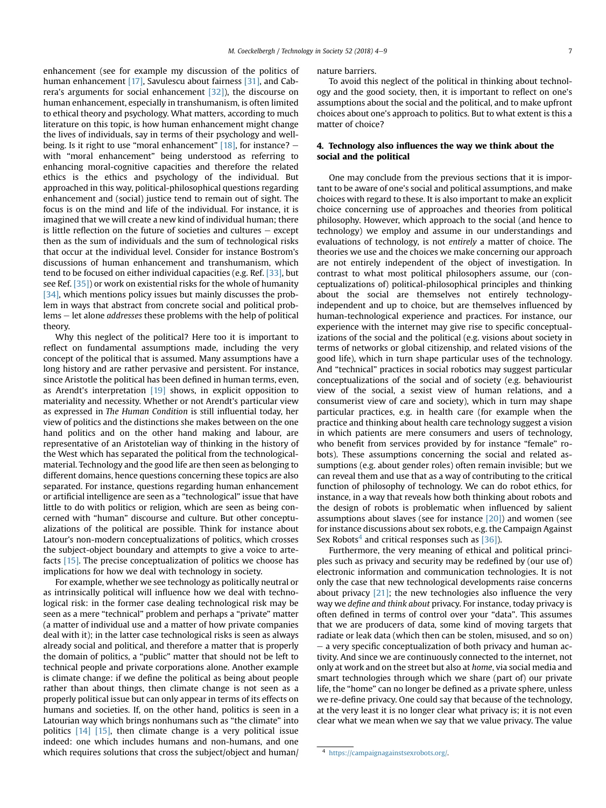enhancement (see for example my discussion of the politics of human enhancement [\[17\],](#page-5-0) Savulescu about fairness [\[31\]](#page-5-0), and Cabrera's arguments for social enhancement [\[32\]](#page-5-0)), the discourse on human enhancement, especially in transhumanism, is often limited to ethical theory and psychology. What matters, according to much literature on this topic, is how human enhancement might change the lives of individuals, say in terms of their psychology and wellbeing. Is it right to use "moral enhancement"  $[18]$ , for instance? with "moral enhancement" being understood as referring to enhancing moral-cognitive capacities and therefore the related ethics is the ethics and psychology of the individual. But approached in this way, political-philosophical questions regarding enhancement and (social) justice tend to remain out of sight. The focus is on the mind and life of the individual. For instance, it is imagined that we will create a new kind of individual human; there is little reflection on the future of societies and cultures  $-$  except then as the sum of individuals and the sum of technological risks that occur at the individual level. Consider for instance Bostrom's discussions of human enhancement and transhumanism, which tend to be focused on either individual capacities (e.g. Ref. [\[33\]](#page-5-0), but see Ref. [\[35\]\)](#page-5-0) or work on existential risks for the whole of humanity [\[34\],](#page-5-0) which mentions policy issues but mainly discusses the problem in ways that abstract from concrete social and political problems - let alone *addresses* these problems with the help of political theory.

Why this neglect of the political? Here too it is important to reflect on fundamental assumptions made, including the very concept of the political that is assumed. Many assumptions have a long history and are rather pervasive and persistent. For instance, since Aristotle the political has been defined in human terms, even, as Arendt's interpretation [\[19\]](#page-5-0) shows, in explicit opposition to materiality and necessity. Whether or not Arendt's particular view as expressed in The Human Condition is still influential today, her view of politics and the distinctions she makes between on the one hand politics and on the other hand making and labour, are representative of an Aristotelian way of thinking in the history of the West which has separated the political from the technologicalmaterial. Technology and the good life are then seen as belonging to different domains, hence questions concerning these topics are also separated. For instance, questions regarding human enhancement or artificial intelligence are seen as a "technological" issue that have little to do with politics or religion, which are seen as being concerned with "human" discourse and culture. But other conceptualizations of the political are possible. Think for instance about Latour's non-modern conceptualizations of politics, which crosses the subject-object boundary and attempts to give a voice to artefacts [\[15\]](#page-5-0). The precise conceptualization of politics we choose has implications for how we deal with technology in society.

For example, whether we see technology as politically neutral or as intrinsically political will influence how we deal with technological risk: in the former case dealing technological risk may be seen as a mere "technical" problem and perhaps a "private" matter (a matter of individual use and a matter of how private companies deal with it); in the latter case technological risks is seen as always already social and political, and therefore a matter that is properly the domain of politics, a "public" matter that should not be left to technical people and private corporations alone. Another example is climate change: if we define the political as being about people rather than about things, then climate change is not seen as a properly political issue but can only appear in terms of its effects on humans and societies. If, on the other hand, politics is seen in a Latourian way which brings nonhumans such as "the climate" into politics [\[14\] \[15\]](#page-5-0), then climate change is a very political issue indeed: one which includes humans and non-humans, and one which requires solutions that cross the subject/object and human/ nature barriers.

To avoid this neglect of the political in thinking about technology and the good society, then, it is important to reflect on one's assumptions about the social and the political, and to make upfront choices about one's approach to politics. But to what extent is this a matter of choice?

# 4. Technology also influences the way we think about the social and the political

One may conclude from the previous sections that it is important to be aware of one's social and political assumptions, and make choices with regard to these. It is also important to make an explicit choice concerning use of approaches and theories from political philosophy. However, which approach to the social (and hence to technology) we employ and assume in our understandings and evaluations of technology, is not entirely a matter of choice. The theories we use and the choices we make concerning our approach are not entirely independent of the object of investigation. In contrast to what most political philosophers assume, our (conceptualizations of) political-philosophical principles and thinking about the social are themselves not entirely technologyindependent and up to choice, but are themselves influenced by human-technological experience and practices. For instance, our experience with the internet may give rise to specific conceptualizations of the social and the political (e.g. visions about society in terms of networks or global citizenship, and related visions of the good life), which in turn shape particular uses of the technology. And "technical" practices in social robotics may suggest particular conceptualizations of the social and of society (e.g. behaviourist view of the social, a sexist view of human relations, and a consumerist view of care and society), which in turn may shape particular practices, e.g. in health care (for example when the practice and thinking about health care technology suggest a vision in which patients are mere consumers and users of technology, who benefit from services provided by for instance "female" robots). These assumptions concerning the social and related assumptions (e.g. about gender roles) often remain invisible; but we can reveal them and use that as a way of contributing to the critical function of philosophy of technology. We can do robot ethics, for instance, in a way that reveals how both thinking about robots and the design of robots is problematic when influenced by salient assumptions about slaves (see for instance  $[20]$ ) and women (see for instance discussions about sex robots, e.g. the Campaign Against Sex Robots<sup>4</sup> and critical responses such as  $[36]$ ).

Furthermore, the very meaning of ethical and political principles such as privacy and security may be redefined by (our use of) electronic information and communication technologies. It is not only the case that new technological developments raise concerns about privacy  $[21]$ ; the new technologies also influence the very way we define and think about privacy. For instance, today privacy is often defined in terms of control over your "data". This assumes that we are producers of data, some kind of moving targets that radiate or leak data (which then can be stolen, misused, and so on)  $-$  a very specific conceptualization of both privacy and human activity. And since we are continuously connected to the internet, not only at work and on the street but also at home, via social media and smart technologies through which we share (part of) our private life, the "home" can no longer be defined as a private sphere, unless we re-define privacy. One could say that because of the technology, at the very least it is no longer clear what privacy is; it is not even clear what we mean when we say that we value privacy. The value

<sup>4</sup> [https://campaignagainstsexrobots.org/.](https://campaignagainstsexrobots.org/)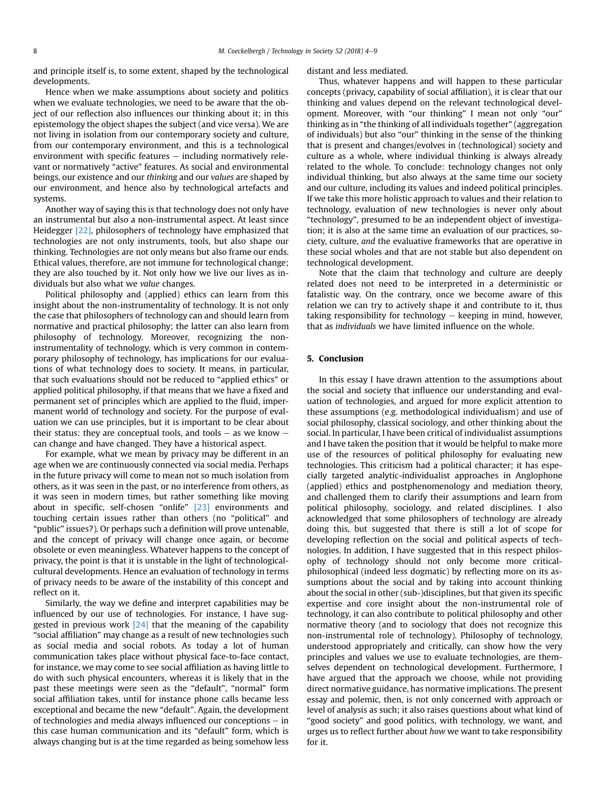and principle itself is, to some extent, shaped by the technological developments.

Hence when we make assumptions about society and politics when we evaluate technologies, we need to be aware that the object of our reflection also influences our thinking about it; in this epistemology the object shapes the subject (and vice versa). We are not living in isolation from our contemporary society and culture, from our contemporary environment, and this is a technological environment with specific features  $-$  including normatively relevant or normatively "active" features. As social and environmental beings, our existence and our thinking and our values are shaped by our environment, and hence also by technological artefacts and systems.

Another way of saying this is that technology does not only have an instrumental but also a non-instrumental aspect. At least since Heidegger [\[22\]](#page-5-0), philosophers of technology have emphasized that technologies are not only instruments, tools, but also shape our thinking. Technologies are not only means but also frame our ends. Ethical values, therefore, are not immune for technological change; they are also touched by it. Not only how we live our lives as individuals but also what we value changes.

Political philosophy and (applied) ethics can learn from this insight about the non-instrumentality of technology. It is not only the case that philosophers of technology can and should learn from normative and practical philosophy; the latter can also learn from philosophy of technology. Moreover, recognizing the noninstrumentality of technology, which is very common in contemporary philosophy of technology, has implications for our evaluations of what technology does to society. It means, in particular, that such evaluations should not be reduced to "applied ethics" or applied political philosophy, if that means that we have a fixed and permanent set of principles which are applied to the fluid, impermanent world of technology and society. For the purpose of evaluation we can use principles, but it is important to be clear about their status: they are conceptual tools, and tools  $-$  as we know  $$ can change and have changed. They have a historical aspect.

For example, what we mean by privacy may be different in an age when we are continuously connected via social media. Perhaps in the future privacy will come to mean not so much isolation from others, as it was seen in the past, or no interference from others, as it was seen in modern times, but rather something like moving about in specific, self-chosen "onlife" [\[23\]](#page-5-0) environments and touching certain issues rather than others (no "political" and "public" issues?). Or perhaps such a definition will prove untenable, and the concept of privacy will change once again, or become obsolete or even meaningless. Whatever happens to the concept of privacy, the point is that it is unstable in the light of technologicalcultural developments. Hence an evaluation of technology in terms of privacy needs to be aware of the instability of this concept and reflect on it.

Similarly, the way we define and interpret capabilities may be influenced by our use of technologies. For instance, I have suggested in previous work  $[24]$  that the meaning of the capability "social affiliation" may change as a result of new technologies such as social media and social robots. As today a lot of human communication takes place without physical face-to-face contact, for instance, we may come to see social affiliation as having little to do with such physical encounters, whereas it is likely that in the past these meetings were seen as the "default", "normal" form social affiliation takes, until for instance phone calls became less exceptional and became the new "default". Again, the development of technologies and media always influenced our conceptions  $-\text{ in}$ this case human communication and its "default" form, which is always changing but is at the time regarded as being somehow less distant and less mediated.

Thus, whatever happens and will happen to these particular concepts (privacy, capability of social affiliation), it is clear that our thinking and values depend on the relevant technological development. Moreover, with "our thinking" I mean not only "our" thinking as in "the thinking of all individuals together" (aggregation of individuals) but also "our" thinking in the sense of the thinking that is present and changes/evolves in (technological) society and culture as a whole, where individual thinking is always already related to the whole. To conclude: technology changes not only individual thinking, but also always at the same time our society and our culture, including its values and indeed political principles. If we take this more holistic approach to values and their relation to technology, evaluation of new technologies is never only about "technology", presumed to be an independent object of investigation; it is also at the same time an evaluation of our practices, society, culture, and the evaluative frameworks that are operative in these social wholes and that are not stable but also dependent on technological development.

Note that the claim that technology and culture are deeply related does not need to be interpreted in a deterministic or fatalistic way. On the contrary, once we become aware of this relation we can try to actively shape it and contribute to it, thus taking responsibility for technology  $-$  keeping in mind, however, that as individuals we have limited influence on the whole.

#### 5. Conclusion

In this essay I have drawn attention to the assumptions about the social and society that influence our understanding and evaluation of technologies, and argued for more explicit attention to these assumptions (e.g. methodological individualism) and use of social philosophy, classical sociology, and other thinking about the social. In particular, I have been critical of individualist assumptions and I have taken the position that it would be helpful to make more use of the resources of political philosophy for evaluating new technologies. This criticism had a political character; it has especially targeted analytic-individualist approaches in Anglophone (applied) ethics and postphenomenology and mediation theory, and challenged them to clarify their assumptions and learn from political philosophy, sociology, and related disciplines. I also acknowledged that some philosophers of technology are already doing this, but suggested that there is still a lot of scope for developing reflection on the social and political aspects of technologies. In addition, I have suggested that in this respect philosophy of technology should not only become more criticalphilosophical (indeed less dogmatic) by reflecting more on its assumptions about the social and by taking into account thinking about the social in other (sub-)disciplines, but that given its specific expertise and core insight about the non-instrumental role of technology, it can also contribute to political philosophy and other normative theory (and to sociology that does not recognize this non-instrumental role of technology). Philosophy of technology, understood appropriately and critically, can show how the very principles and values we use to evaluate technologies, are themselves dependent on technological development. Furthermore, I have argued that the approach we choose, while not providing direct normative guidance, has normative implications. The present essay and polemic, then, is not only concerned with approach or level of analysis as such; it also raises questions about what kind of "good society" and good politics, with technology, we want, and urges us to reflect further about how we want to take responsibility for it.